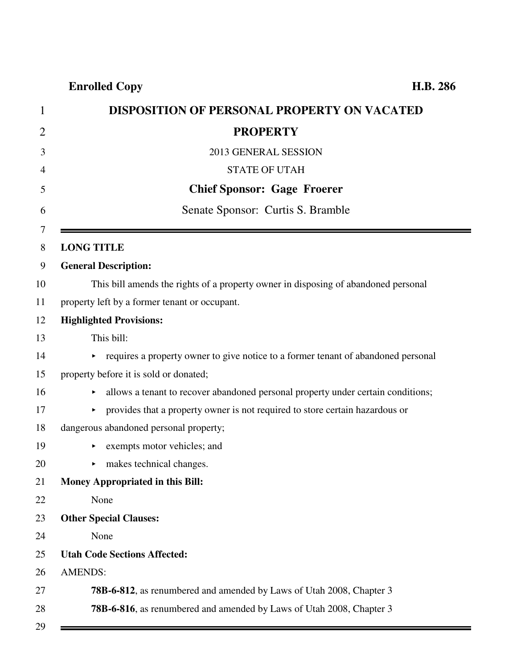|                   | <b>DISPOSITION OF PERSONAL PROPERTY ON VACATED</b>                                  |
|-------------------|-------------------------------------------------------------------------------------|
|                   | <b>PROPERTY</b>                                                                     |
|                   | 2013 GENERAL SESSION                                                                |
|                   | <b>STATE OF UTAH</b>                                                                |
|                   | <b>Chief Sponsor: Gage Froerer</b>                                                  |
|                   | Senate Sponsor: Curtis S. Bramble                                                   |
| <b>LONG TITLE</b> |                                                                                     |
|                   | <b>General Description:</b>                                                         |
|                   | This bill amends the rights of a property owner in disposing of abandoned personal  |
|                   | property left by a former tenant or occupant.                                       |
|                   | <b>Highlighted Provisions:</b>                                                      |
|                   | This bill:                                                                          |
|                   | • requires a property owner to give notice to a former tenant of abandoned personal |
|                   | property before it is sold or donated;                                              |
| Þ.                | allows a tenant to recover abandoned personal property under certain conditions;    |
|                   | provides that a property owner is not required to store certain hazardous or        |
|                   | dangerous abandoned personal property;                                              |
|                   | exempts motor vehicles; and                                                         |
| ▶                 | makes technical changes.                                                            |
|                   | <b>Money Appropriated in this Bill:</b>                                             |
|                   | None                                                                                |
|                   | <b>Other Special Clauses:</b>                                                       |
|                   | None                                                                                |
|                   | <b>Utah Code Sections Affected:</b>                                                 |
| <b>AMENDS:</b>    |                                                                                     |
|                   | 78B-6-812, as renumbered and amended by Laws of Utah 2008, Chapter 3                |
|                   | 78B-6-816, as renumbered and amended by Laws of Utah 2008, Chapter 3                |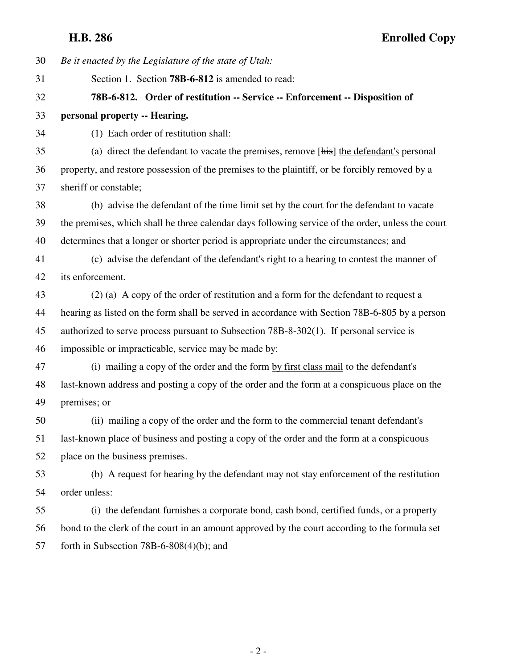**H.B. 286 Enrolled Copy**

30 *Be it enacted by the Legislature of the state of Utah:* 31 Section 1. Section **78B-6-812** is amended to read: 32 **78B-6-812. Order of restitution -- Service -- Enforcement -- Disposition of** 33 **personal property -- Hearing.** 34 (1) Each order of restitution shall: 35 (a) direct the defendant to vacate the premises, remove [his] the defendant's personal 36 property, and restore possession of the premises to the plaintiff, or be forcibly removed by a 37 sheriff or constable; 38 (b) advise the defendant of the time limit set by the court for the defendant to vacate 39 the premises, which shall be three calendar days following service of the order, unless the court 40 determines that a longer or shorter period is appropriate under the circumstances; and 41 (c) advise the defendant of the defendant's right to a hearing to contest the manner of 42 its enforcement. 43 (2) (a) A copy of the order of restitution and a form for the defendant to request a 44 hearing as listed on the form shall be served in accordance with Section 78B-6-805 by a person 45 authorized to serve process pursuant to Subsection 78B-8-302(1). If personal service is 46 impossible or impracticable, service may be made by: 47 (i) mailing a copy of the order and the form by first class mail to the defendant's 48 last-known address and posting a copy of the order and the form at a conspicuous place on the 49 premises; or 50 (ii) mailing a copy of the order and the form to the commercial tenant defendant's 51 last-known place of business and posting a copy of the order and the form at a conspicuous 52 place on the business premises. 53 (b) A request for hearing by the defendant may not stay enforcement of the restitution 54 order unless: 55 (i) the defendant furnishes a corporate bond, cash bond, certified funds, or a property 56 bond to the clerk of the court in an amount approved by the court according to the formula set 57 forth in Subsection 78B-6-808(4)(b); and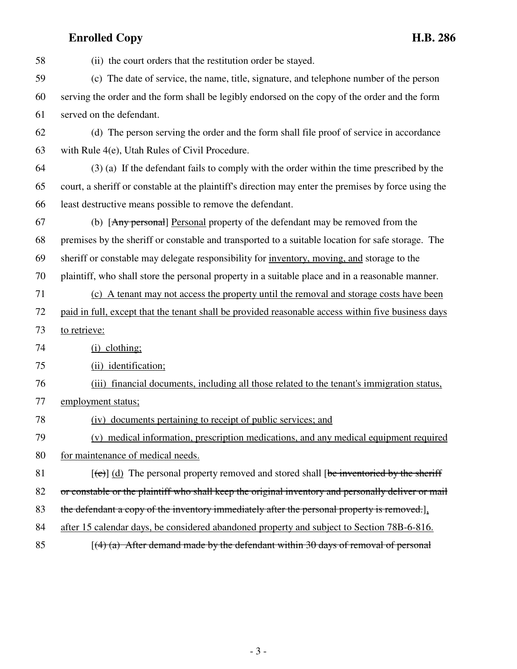| 58 | (ii) the court orders that the restitution order be stayed.                                                   |
|----|---------------------------------------------------------------------------------------------------------------|
| 59 | (c) The date of service, the name, title, signature, and telephone number of the person                       |
| 60 | serving the order and the form shall be legibly endorsed on the copy of the order and the form                |
| 61 | served on the defendant.                                                                                      |
| 62 | (d) The person serving the order and the form shall file proof of service in accordance                       |
| 63 | with Rule 4(e), Utah Rules of Civil Procedure.                                                                |
| 64 | (3) (a) If the defendant fails to comply with the order within the time prescribed by the                     |
| 65 | court, a sheriff or constable at the plaintiff's direction may enter the premises by force using the          |
| 66 | least destructive means possible to remove the defendant.                                                     |
| 67 | (b) [Any personal] Personal property of the defendant may be removed from the                                 |
| 68 | premises by the sheriff or constable and transported to a suitable location for safe storage. The             |
| 69 | sheriff or constable may delegate responsibility for inventory, moving, and storage to the                    |
| 70 | plaintiff, who shall store the personal property in a suitable place and in a reasonable manner.              |
| 71 | (c) A tenant may not access the property until the removal and storage costs have been                        |
| 72 | paid in full, except that the tenant shall be provided reasonable access within five business days            |
| 73 | to retrieve:                                                                                                  |
| 74 | $(i)$ clothing;                                                                                               |
| 75 | (ii) identification;                                                                                          |
| 76 | (iii) financial documents, including all those related to the tenant's immigration status,                    |
| 77 | employment status;                                                                                            |
| 78 | (iv) documents pertaining to receipt of public services; and                                                  |
| 79 | (v) medical information, prescription medications, and any medical equipment required                         |
| 80 | for maintenance of medical needs.                                                                             |
| 81 | $[\text{e} \cdot \text{e}]$ (d) The personal property removed and stored shall [be inventoried by the sheriff |
| 82 | or constable or the plaintiff who shall keep the original inventory and personally deliver or mail            |
| 83 | the defendant a copy of the inventory immediately after the personal property is removed.].                   |
| 84 | after 15 calendar days, be considered abandoned property and subject to Section 78B-6-816.                    |
|    |                                                                                                               |

85  $[(4)$  (a) After demand made by the defendant within 30 days of removal of personal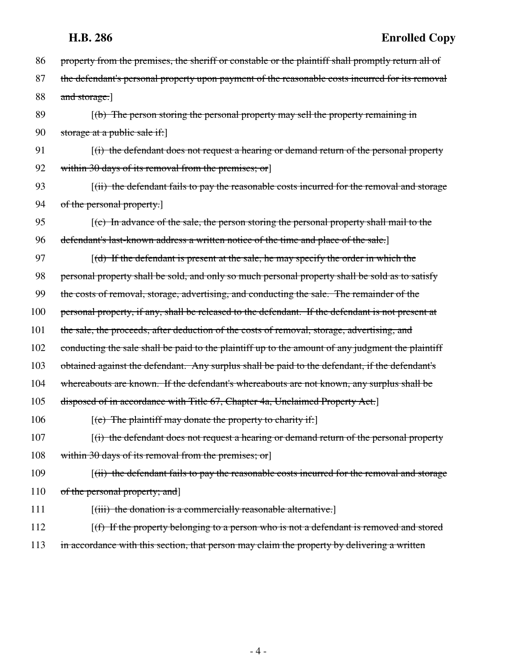| 86  | property from the premises, the sheriff or constable or the plaintiff shall promptly return all of |
|-----|----------------------------------------------------------------------------------------------------|
| 87  | the defendant's personal property upon payment of the reasonable costs incurred for its removal    |
| 88  | and storage.]                                                                                      |
| 89  | $(6)$ The person storing the personal property may sell the property remaining in                  |
| 90  | storage at a public sale if:                                                                       |
| 91  | $(i)$ the defendant does not request a hearing or demand return of the personal property           |
| 92  | within 30 days of its removal from the premises; or                                                |
| 93  | $(iii)$ the defendant fails to pay the reasonable costs incurred for the removal and storage       |
| 94  | of the personal property.                                                                          |
| 95  | $(c)$ In advance of the sale, the person storing the personal property shall mail to the           |
| 96  | defendant's last-known address a written notice of the time and place of the sale.]                |
| 97  | $[(d)$ If the defendant is present at the sale, he may specify the order in which the              |
| 98  | personal property shall be sold, and only so much personal property shall be sold as to satisfy    |
| 99  | the costs of removal, storage, advertising, and conducting the sale. The remainder of the          |
| 100 | personal property, if any, shall be released to the defendant. If the defendant is not present at  |
| 101 | the sale, the proceeds, after deduction of the costs of removal, storage, advertising, and         |
| 102 | conducting the sale shall be paid to the plaintiff up to the amount of any judgment the plaintiff  |
| 103 | obtained against the defendant. Any surplus shall be paid to the defendant, if the defendant's     |
| 104 | whereabouts are known. If the defendant's whereabouts are not known, any surplus shall be          |
| 105 | disposed of in accordance with Title 67, Chapter 4a, Unclaimed Property Act.]                      |
| 106 | $[$ (e) The plaintiff may donate the property to charity if:                                       |
| 107 | $(i)$ the defendant does not request a hearing or demand return of the personal property           |
| 108 | within 30 days of its removal from the premises; or]                                               |
| 109 | $(iii)$ the defendant fails to pay the reasonable costs incurred for the removal and storage       |
| 110 | of the personal property; and]                                                                     |
| 111 | $[(iii)$ the donation is a commercially reasonable alternative.]                                   |
| 112 | $(f)$ If the property belonging to a person who is not a defendant is removed and stored           |
| 113 | in accordance with this section, that person may claim the property by delivering a written        |
|     |                                                                                                    |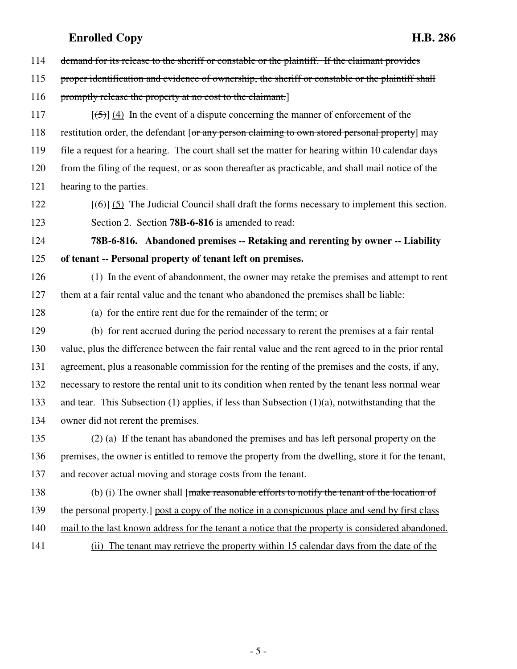114 demand for its release to the sheriff or constable or the plaintiff. If the claimant provides

115 proper identification and evidence of ownership, the sheriff or constable or the plaintiff shall

116 promptly release the property at no cost to the claimant.

117  $[(5)]$  (4) In the event of a dispute concerning the manner of enforcement of the 118 restitution order, the defendant [or any person claiming to own stored personal property] may 119 file a request for a hearing. The court shall set the matter for hearing within 10 calendar days 120 from the filing of the request, or as soon thereafter as practicable, and shall mail notice of the 121 hearing to the parties.

122  $[(6)]$  (5) The Judicial Council shall draft the forms necessary to implement this section.

123 Section 2. Section **78B-6-816** is amended to read:

124 **78B-6-816. Abandoned premises -- Retaking and rerenting by owner -- Liability** 125 **of tenant -- Personal property of tenant left on premises.**

126 (1) In the event of abandonment, the owner may retake the premises and attempt to rent 127 them at a fair rental value and the tenant who abandoned the premises shall be liable:

128 (a) for the entire rent due for the remainder of the term; or

129 (b) for rent accrued during the period necessary to rerent the premises at a fair rental 130 value, plus the difference between the fair rental value and the rent agreed to in the prior rental 131 agreement, plus a reasonable commission for the renting of the premises and the costs, if any, 132 necessary to restore the rental unit to its condition when rented by the tenant less normal wear 133 and tear. This Subsection (1) applies, if less than Subsection (1)(a), notwithstanding that the 134 owner did not rerent the premises.

135 (2) (a) If the tenant has abandoned the premises and has left personal property on the 136 premises, the owner is entitled to remove the property from the dwelling, store it for the tenant, 137 and recover actual moving and storage costs from the tenant.

138 (b) (i) The owner shall [make reasonable efforts to notify the tenant of the location of

- 139 the personal property.] post a copy of the notice in a conspicuous place and send by first class
- 140 mail to the last known address for the tenant a notice that the property is considered abandoned.
- 141 (ii) The tenant may retrieve the property within 15 calendar days from the date of the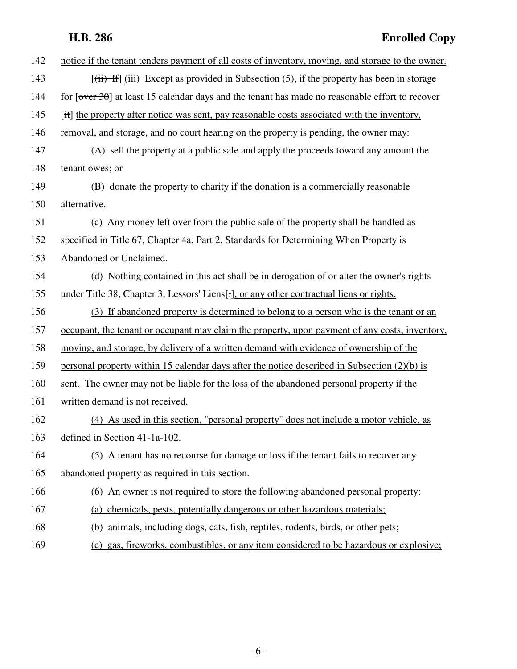# **H.B. 286 Enrolled Copy**

| 142 | notice if the tenant tenders payment of all costs of inventory, moving, and storage to the owner.                               |
|-----|---------------------------------------------------------------------------------------------------------------------------------|
| 143 | $[\overrightarrow{iii}]$ (iii) Except as provided in Subsection (5), if the property has been in storage                        |
| 144 | for $\lceil \overline{\text{over }30} \rceil$ at least 15 calendar days and the tenant has made no reasonable effort to recover |
| 145 | [it] the property after notice was sent, pay reasonable costs associated with the inventory,                                    |
| 146 | removal, and storage, and no court hearing on the property is pending, the owner may:                                           |
| 147 | (A) sell the property at a public sale and apply the proceeds toward any amount the                                             |
| 148 | tenant owes; or                                                                                                                 |
| 149 | (B) donate the property to charity if the donation is a commercially reasonable                                                 |
| 150 | alternative.                                                                                                                    |
| 151 | (c) Any money left over from the public sale of the property shall be handled as                                                |
| 152 | specified in Title 67, Chapter 4a, Part 2, Standards for Determining When Property is                                           |
| 153 | Abandoned or Unclaimed.                                                                                                         |
| 154 | (d) Nothing contained in this act shall be in derogation of or alter the owner's rights                                         |
| 155 | under Title 38, Chapter 3, Lessors' Liens[.], or any other contractual liens or rights.                                         |
| 156 | (3) If abandoned property is determined to belong to a person who is the tenant or an                                           |
| 157 | occupant, the tenant or occupant may claim the property, upon payment of any costs, inventory,                                  |
| 158 | moving, and storage, by delivery of a written demand with evidence of ownership of the                                          |
| 159 | personal property within 15 calendar days after the notice described in Subsection (2)(b) is                                    |
| 160 | sent. The owner may not be liable for the loss of the abandoned personal property if the                                        |
| 161 | written demand is not received.                                                                                                 |
| 162 | (4) As used in this section, "personal property" does not include a motor vehicle, as                                           |
| 163 | defined in Section 41-1a-102.                                                                                                   |
| 164 | (5) A tenant has no recourse for damage or loss if the tenant fails to recover any                                              |
| 165 | abandoned property as required in this section.                                                                                 |
| 166 | (6) An owner is not required to store the following abandoned personal property:                                                |
| 167 | (a) chemicals, pests, potentially dangerous or other hazardous materials;                                                       |
| 168 | (b) animals, including dogs, cats, fish, reptiles, rodents, birds, or other pets;                                               |
| 169 | (c) gas, fireworks, combustibles, or any item considered to be hazardous or explosive;                                          |